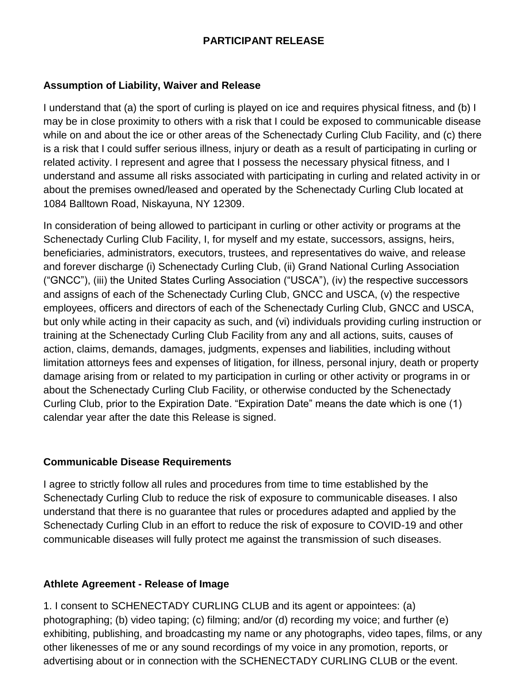## **PARTICIPANT RELEASE**

#### **Assumption of Liability, Waiver and Release**

I understand that (a) the sport of curling is played on ice and requires physical fitness, and (b) I may be in close proximity to others with a risk that I could be exposed to communicable disease while on and about the ice or other areas of the Schenectady Curling Club Facility, and (c) there is a risk that I could suffer serious illness, injury or death as a result of participating in curling or related activity. I represent and agree that I possess the necessary physical fitness, and I understand and assume all risks associated with participating in curling and related activity in or about the premises owned/leased and operated by the Schenectady Curling Club located at 1084 Balltown Road, Niskayuna, NY 12309.

In consideration of being allowed to participant in curling or other activity or programs at the Schenectady Curling Club Facility, I, for myself and my estate, successors, assigns, heirs, beneficiaries, administrators, executors, trustees, and representatives do waive, and release and forever discharge (i) Schenectady Curling Club, (ii) Grand National Curling Association ("GNCC"), (iii) the United States Curling Association ("USCA"), (iv) the respective successors and assigns of each of the Schenectady Curling Club, GNCC and USCA, (v) the respective employees, officers and directors of each of the Schenectady Curling Club, GNCC and USCA, but only while acting in their capacity as such, and (vi) individuals providing curling instruction or training at the Schenectady Curling Club Facility from any and all actions, suits, causes of action, claims, demands, damages, judgments, expenses and liabilities, including without limitation attorneys fees and expenses of litigation, for illness, personal injury, death or property damage arising from or related to my participation in curling or other activity or programs in or about the Schenectady Curling Club Facility, or otherwise conducted by the Schenectady Curling Club, prior to the Expiration Date. "Expiration Date" means the date which is one (1) calendar year after the date this Release is signed.

## **Communicable Disease Requirements**

I agree to strictly follow all rules and procedures from time to time established by the Schenectady Curling Club to reduce the risk of exposure to communicable diseases. I also understand that there is no guarantee that rules or procedures adapted and applied by the Schenectady Curling Club in an effort to reduce the risk of exposure to COVID-19 and other communicable diseases will fully protect me against the transmission of such diseases.

## **Athlete Agreement - Release of Image**

1. I consent to SCHENECTADY CURLING CLUB and its agent or appointees: (a) photographing; (b) video taping; (c) filming; and/or (d) recording my voice; and further (e) exhibiting, publishing, and broadcasting my name or any photographs, video tapes, films, or any other likenesses of me or any sound recordings of my voice in any promotion, reports, or advertising about or in connection with the SCHENECTADY CURLING CLUB or the event.